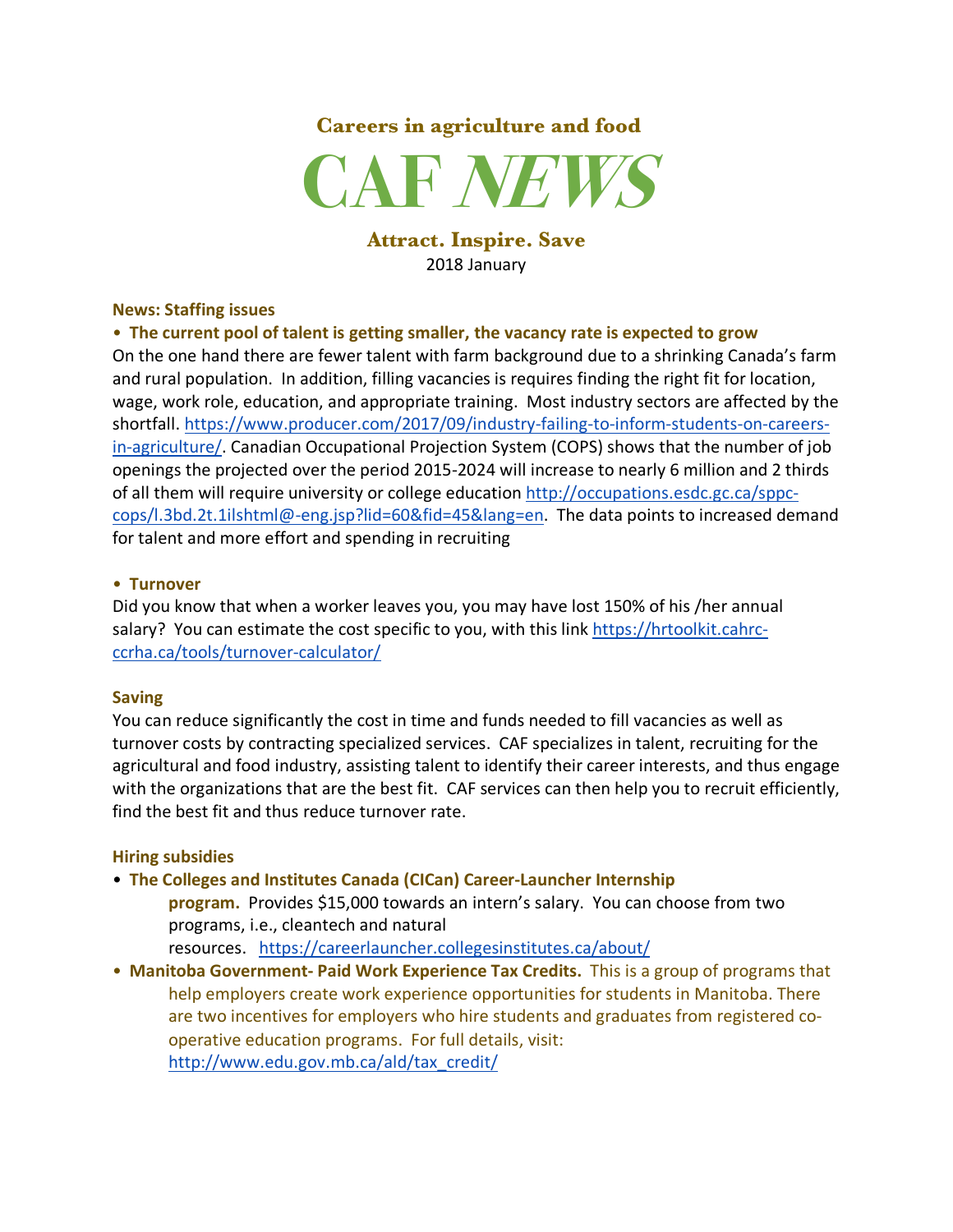## **Careers in agriculture and food**



#### **Attract. Inspire. Save** 2018 January

#### **News: Staffing issues**

#### • **The current pool of talent is getting smaller, the vacancy rate is expected to grow**

On the one hand there are fewer talent with farm background due to a shrinking Canada's farm and rural population. In addition, filling vacancies is requires finding the right fit for location, wage, work role, education, and appropriate training. Most industry sectors are affected by the shortfall. https://www.producer.com/2017/09/industry-failing-to-inform-students-on-careersin-agriculture/. Canadian Occupational Projection System (COPS) shows that the number of job openings the projected over the period 2015-2024 will increase to nearly 6 million and 2 thirds of all them will require university or college education http://occupations.esdc.gc.ca/sppccops/l.3bd.2t.1ilshtml@-eng.jsp?lid=60&fid=45&lang=en. The data points to increased demand for talent and more effort and spending in recruiting

#### • **Turnover**

Did you know that when a worker leaves you, you may have lost 150% of his /her annual salary? You can estimate the cost specific to you, with this link https://hrtoolkit.cahrcccrha.ca/tools/turnover-calculator/

#### **Saving**

You can reduce significantly the cost in time and funds needed to fill vacancies as well as turnover costs by contracting specialized services. CAF specializes in talent, recruiting for the agricultural and food industry, assisting talent to identify their career interests, and thus engage with the organizations that are the best fit. CAF services can then help you to recruit efficiently, find the best fit and thus reduce turnover rate.

#### **Hiring subsidies**

- **The Colleges and Institutes Canada (CICan) Career-Launcher Internship** 
	- **program.** Provides \$15,000 towards an intern's salary. You can choose from two programs, i.e., cleantech and natural
	- resources. https://careerlauncher.collegesinstitutes.ca/about/
- **Manitoba Government- Paid Work Experience Tax Credits.** This is a group of programs that help employers create work experience opportunities for students in Manitoba. There are two incentives for employers who hire students and graduates from registered cooperative education programs. For full details, visit: http://www.edu.gov.mb.ca/ald/tax\_credit/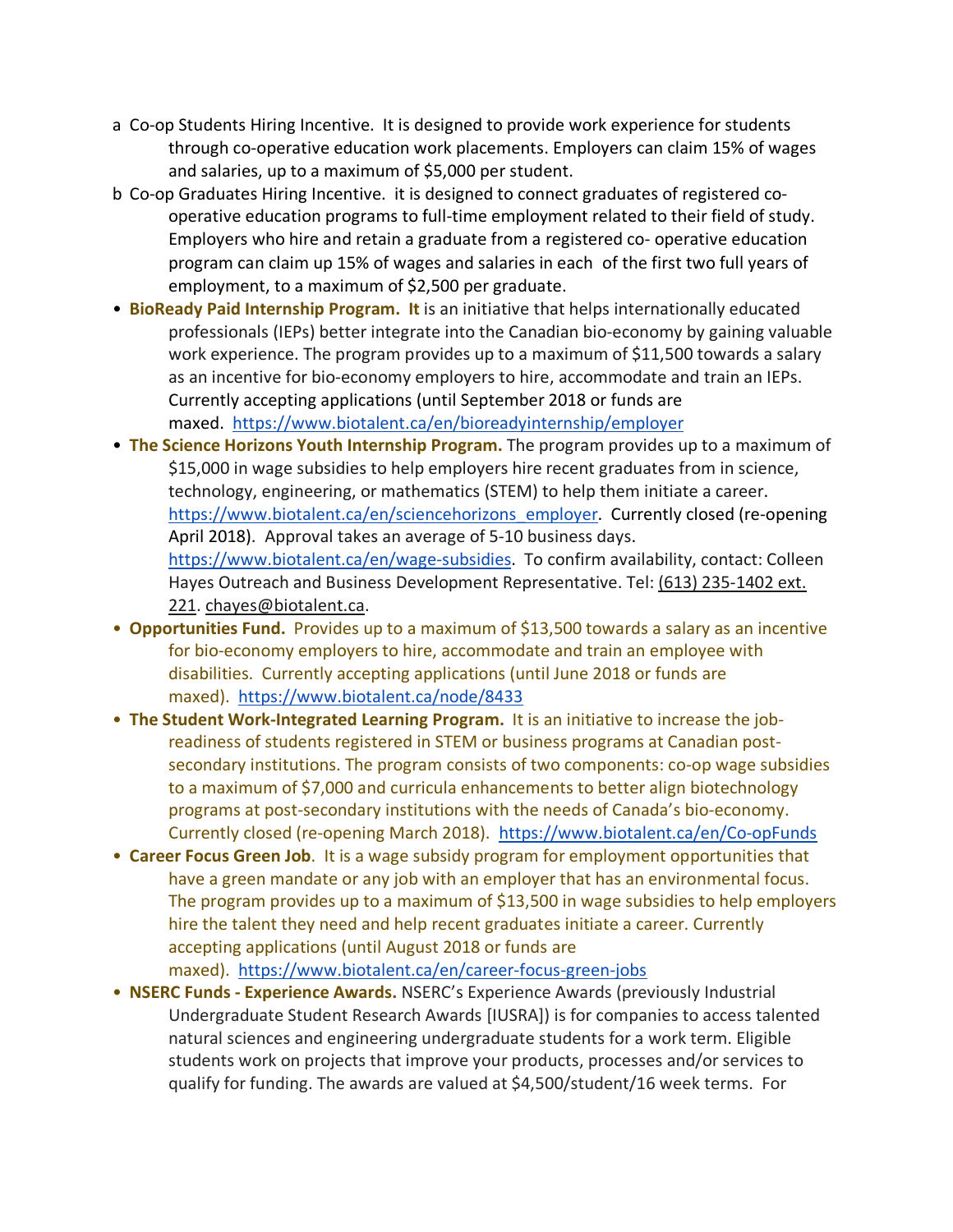- a Co-op Students Hiring Incentive. It is designed to provide work experience for students through co-operative education work placements. Employers can claim 15% of wages and salaries, up to a maximum of \$5,000 per student.
- b Co-op Graduates Hiring Incentive. it is designed to connect graduates of registered cooperative education programs to full-time employment related to their field of study. Employers who hire and retain a graduate from a registered co- operative education program can claim up 15% of wages and salaries in each of the first two full years of employment, to a maximum of \$2,500 per graduate.
- **BioReady Paid Internship Program. It** is an initiative that helps internationally educated professionals (IEPs) better integrate into the Canadian bio-economy by gaining valuable work experience. The program provides up to a maximum of \$11,500 towards a salary as an incentive for bio-economy employers to hire, accommodate and train an IEPs. Currently accepting applications (until September 2018 or funds are maxed. https://www.biotalent.ca/en/bioreadyinternship/employer
- **The Science Horizons Youth Internship Program.** The program provides up to a maximum of \$15,000 in wage subsidies to help employers hire recent graduates from in science, technology, engineering, or mathematics (STEM) to help them initiate a career. https://www.biotalent.ca/en/sciencehorizons\_employer. Currently closed (re-opening April 2018). Approval takes an average of 5-10 business days. https://www.biotalent.ca/en/wage-subsidies. To confirm availability, contact: Colleen Hayes Outreach and Business Development Representative. Tel: (613) 235-1402 ext. 221. chayes@biotalent.ca.
- **Opportunities Fund.** Provides up to a maximum of \$13,500 towards a salary as an incentive for bio-economy employers to hire, accommodate and train an employee with disabilities. Currently accepting applications (until June 2018 or funds are maxed). https://www.biotalent.ca/node/8433
- **The Student Work-Integrated Learning Program.** It is an initiative to increase the jobreadiness of students registered in STEM or business programs at Canadian postsecondary institutions. The program consists of two components: co-op wage subsidies to a maximum of \$7,000 and curricula enhancements to better align biotechnology programs at post-secondary institutions with the needs of Canada's bio-economy. Currently closed (re-opening March 2018). https://www.biotalent.ca/en/Co-opFunds
- **Career Focus Green Job**. It is a wage subsidy program for employment opportunities that have a green mandate or any job with an employer that has an environmental focus. The program provides up to a maximum of \$13,500 in wage subsidies to help employers hire the talent they need and help recent graduates initiate a career. Currently accepting applications (until August 2018 or funds are maxed). https://www.biotalent.ca/en/career-focus-green-jobs
- **NSERC Funds - Experience Awards.** NSERC's Experience Awards (previously Industrial Undergraduate Student Research Awards [IUSRA]) is for companies to access talented natural sciences and engineering undergraduate students for a work term. Eligible students work on projects that improve your products, processes and/or services to qualify for funding. The awards are valued at \$4,500/student/16 week terms. For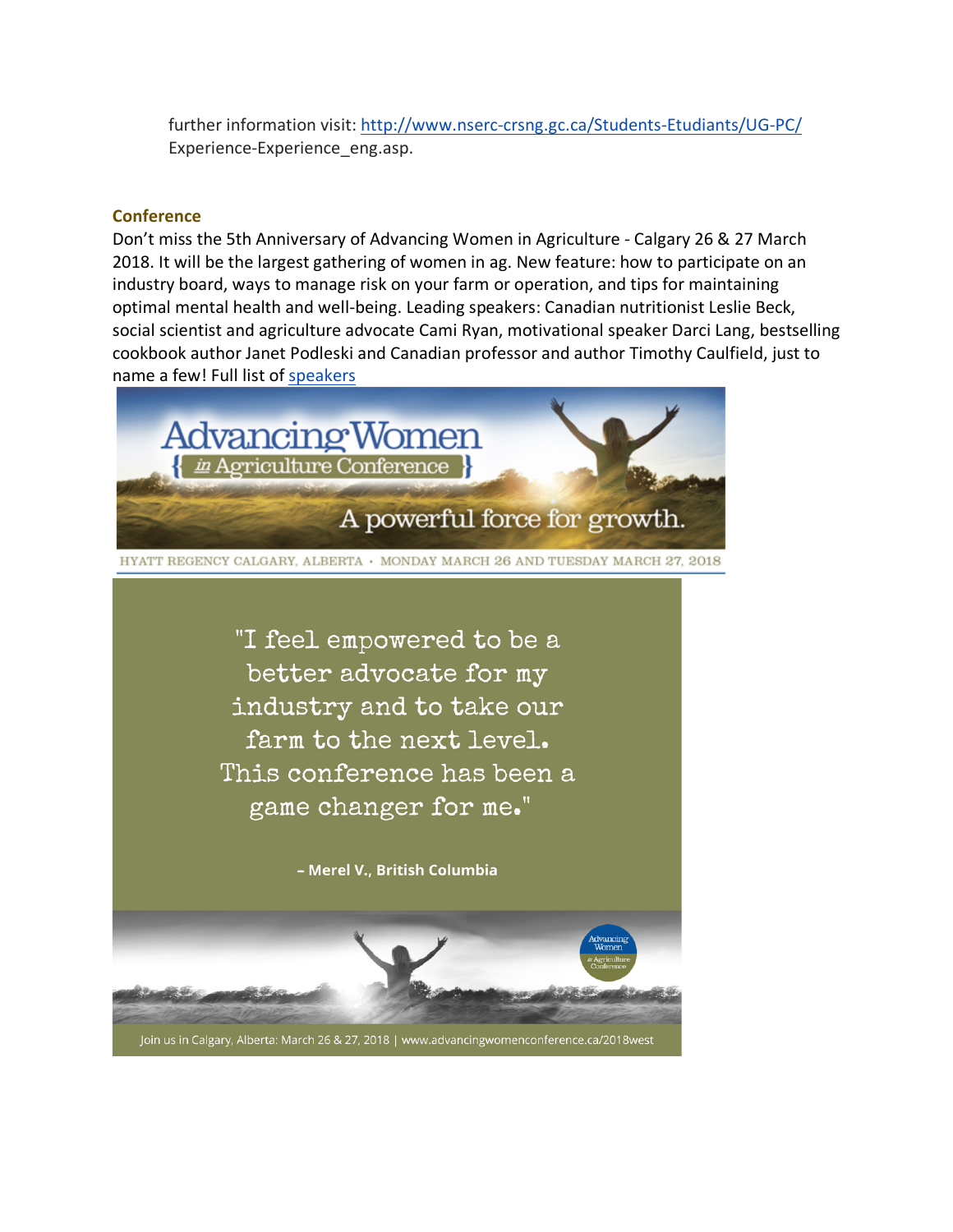further information visit: http://www.nserc-crsng.gc.ca/Students-Etudiants/UG-PC/ Experience-Experience\_eng.asp.

#### **Conference**

Don't miss the 5th Anniversary of Advancing Women in Agriculture - Calgary 26 & 27 March 2018. It will be the largest gathering of women in ag. New feature: how to participate on an industry board, ways to manage risk on your farm or operation, and tips for maintaining optimal mental health and well-being. Leading speakers: Canadian nutritionist Leslie Beck, social scientist and agriculture advocate Cami Ryan, motivational speaker Darci Lang, bestselling cookbook author Janet Podleski and Canadian professor and author Timothy Caulfield, just to name a few! Full list of speakers

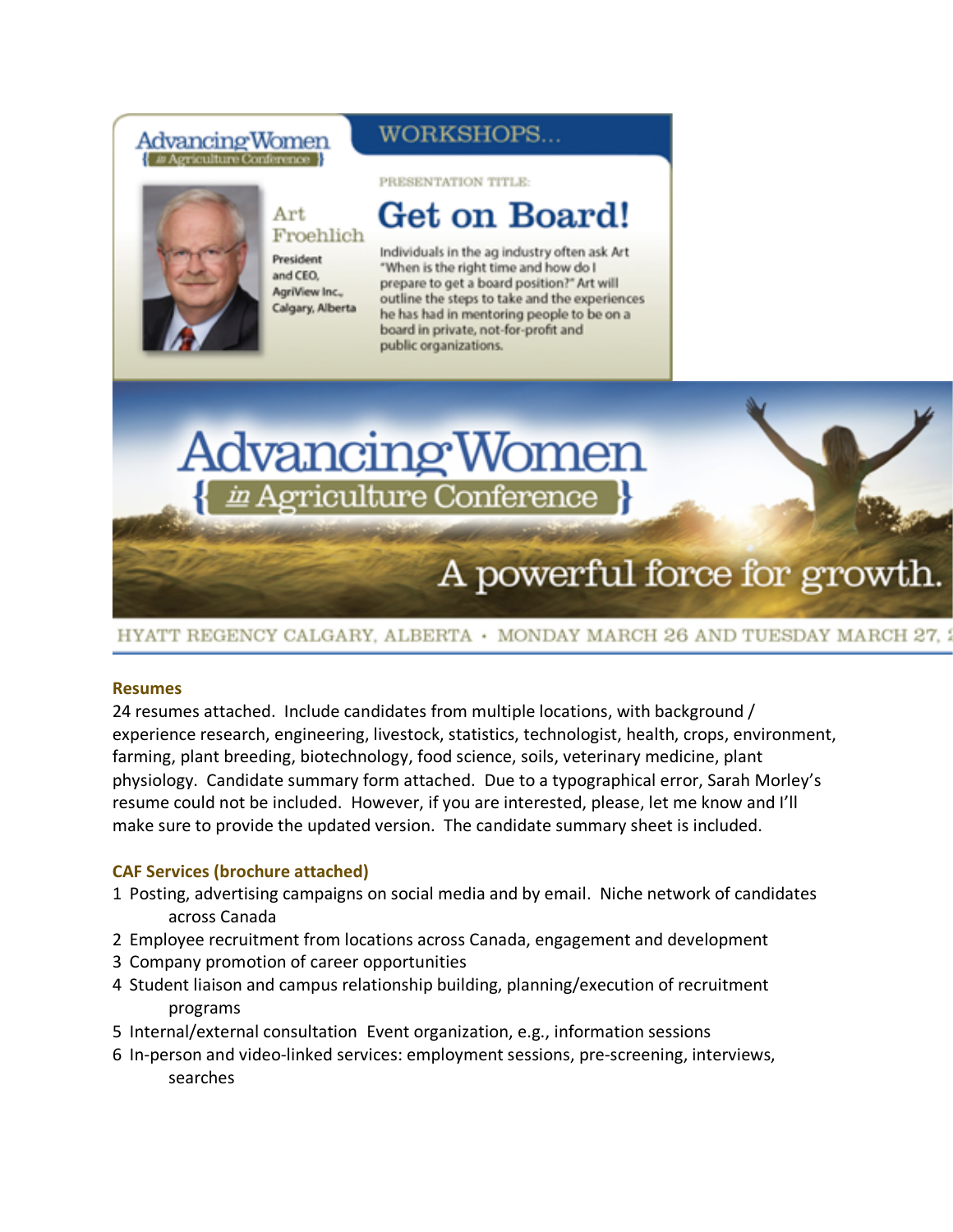### Advancing Women 4 / Agriculture Conference

### WORKSHOPS...

#### PRESENTATION TITLE:



## Get on Board!

Individuals in the ag industry often ask Art "When is the right time and how do I prepare to get a board position?" Art will outline the steps to take and the experiences he has had in mentoring people to be on a board in private, not-for-profit and public organizations.

# Advancing Women ericulture Conference

## A powerful force for growth.

HYATT REGENCY CALGARY, ALBERTA · MONDAY MARCH 26 AND TUESDAY MARCH 27.

#### **Resumes**

24 resumes attached. Include candidates from multiple locations, with background / experience research, engineering, livestock, statistics, technologist, health, crops, environment, farming, plant breeding, biotechnology, food science, soils, veterinary medicine, plant physiology. Candidate summary form attached. Due to a typographical error, Sarah Morley's resume could not be included. However, if you are interested, please, let me know and I'll make sure to provide the updated version. The candidate summary sheet is included.

#### **CAF Services (brochure attached)**

- 1 Posting, advertising campaigns on social media and by email. Niche network of candidates across Canada
- 2 Employee recruitment from locations across Canada, engagement and development
- 3 Company promotion of career opportunities
- 4 Student liaison and campus relationship building, planning/execution of recruitment programs
- 5 Internal/external consultation Event organization, e.g., information sessions
- 6 In-person and video-linked services: employment sessions, pre-screening, interviews, searches